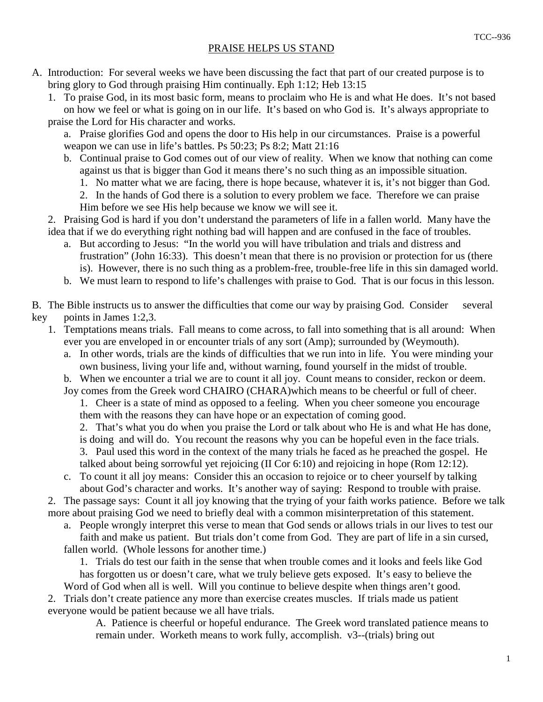A. Introduction: For several weeks we have been discussing the fact that part of our created purpose is to bring glory to God through praising Him continually. Eph 1:12; Heb 13:15

 1. To praise God, in its most basic form, means to proclaim who He is and what He does. It's not based on how we feel or what is going on in our life. It's based on who God is. It's always appropriate to praise the Lord for His character and works.

 a. Praise glorifies God and opens the door to His help in our circumstances. Praise is a powerful weapon we can use in life's battles. Ps 50:23; Ps 8:2; Matt 21:16

- b. Continual praise to God comes out of our view of reality. When we know that nothing can come against us that is bigger than God it means there's no such thing as an impossible situation.
	- 1. No matter what we are facing, there is hope because, whatever it is, it's not bigger than God.
	- 2. In the hands of God there is a solution to every problem we face. Therefore we can praise
	- Him before we see His help because we know we will see it.

 2. Praising God is hard if you don't understand the parameters of life in a fallen world. Many have the idea that if we do everything right nothing bad will happen and are confused in the face of troubles.

- a. But according to Jesus: "In the world you will have tribulation and trials and distress and frustration" (John 16:33). This doesn't mean that there is no provision or protection for us (there is). However, there is no such thing as a problem-free, trouble-free life in this sin damaged world.
- b. We must learn to respond to life's challenges with praise to God. That is our focus in this lesson.

B. The Bible instructs us to answer the difficulties that come our way by praising God. Consider several key points in James 1:2,3.

- 1. Temptations means trials. Fall means to come across, to fall into something that is all around: When ever you are enveloped in or encounter trials of any sort (Amp); surrounded by (Weymouth).
	- a. In other words, trials are the kinds of difficulties that we run into in life. You were minding your own business, living your life and, without warning, found yourself in the midst of trouble.

b. When we encounter a trial we are to count it all joy. Count means to consider, reckon or deem.

 Joy comes from the Greek word CHAIRO (CHARA)which means to be cheerful or full of cheer. 1. Cheer is a state of mind as opposed to a feeling. When you cheer someone you encourage

them with the reasons they can have hope or an expectation of coming good.

 2. That's what you do when you praise the Lord or talk about who He is and what He has done, is doing and will do. You recount the reasons why you can be hopeful even in the face trials. 3. Paul used this word in the context of the many trials he faced as he preached the gospel. He talked about being sorrowful yet rejoicing (II Cor 6:10) and rejoicing in hope (Rom 12:12).

 c. To count it all joy means: Consider this an occasion to rejoice or to cheer yourself by talking about God's character and works. It's another way of saying: Respond to trouble with praise.

 2. The passage says: Count it all joy knowing that the trying of your faith works patience. Before we talk more about praising God we need to briefly deal with a common misinterpretation of this statement.

 a. People wrongly interpret this verse to mean that God sends or allows trials in our lives to test our faith and make us patient. But trials don't come from God. They are part of life in a sin cursed,

fallen world. (Whole lessons for another time.)

 1. Trials do test our faith in the sense that when trouble comes and it looks and feels like God has forgotten us or doesn't care, what we truly believe gets exposed. It's easy to believe the

Word of God when all is well. Will you continue to believe despite when things aren't good. 2. Trials don't create patience any more than exercise creates muscles. If trials made us patient everyone would be patient because we all have trials.

> A. Patience is cheerful or hopeful endurance. The Greek word translated patience means to remain under. Worketh means to work fully, accomplish. v3--(trials) bring out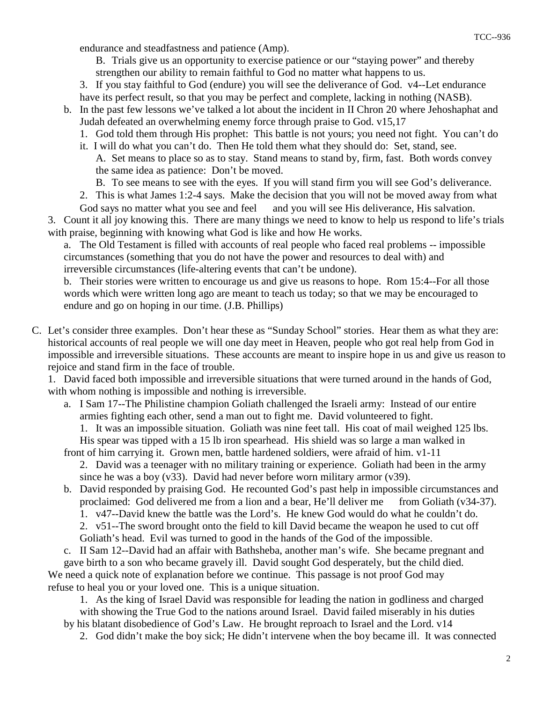endurance and steadfastness and patience (Amp).

 B. Trials give us an opportunity to exercise patience or our "staying power" and thereby strengthen our ability to remain faithful to God no matter what happens to us.

- 3. If you stay faithful to God (endure) you will see the deliverance of God. v4--Let endurance have its perfect result, so that you may be perfect and complete, lacking in nothing (NASB).
- b. In the past few lessons we've talked a lot about the incident in II Chron 20 where Jehoshaphat and Judah defeated an overwhelming enemy force through praise to God. v15,17
	- 1. God told them through His prophet: This battle is not yours; you need not fight. You can't do
	- it. I will do what you can't do. Then He told them what they should do: Set, stand, see. A. Set means to place so as to stay. Stand means to stand by, firm, fast. Both words convey the same idea as patience: Don't be moved.

B. To see means to see with the eyes. If you will stand firm you will see God's deliverance.

- 2. This is what James 1:2-4 says. Make the decision that you will not be moved away from what
- God says no matter what you see and feel and you will see His deliverance, His salvation.

 3. Count it all joy knowing this. There are many things we need to know to help us respond to life's trials with praise, beginning with knowing what God is like and how He works.

 a. The Old Testament is filled with accounts of real people who faced real problems -- impossible circumstances (something that you do not have the power and resources to deal with) and irreversible circumstances (life-altering events that can't be undone).

 b. Their stories were written to encourage us and give us reasons to hope. Rom 15:4--For all those words which were written long ago are meant to teach us today; so that we may be encouraged to endure and go on hoping in our time. (J.B. Phillips)

C. Let's consider three examples. Don't hear these as "Sunday School" stories. Hear them as what they are: historical accounts of real people we will one day meet in Heaven, people who got real help from God in impossible and irreversible situations. These accounts are meant to inspire hope in us and give us reason to rejoice and stand firm in the face of trouble.

 1. David faced both impossible and irreversible situations that were turned around in the hands of God, with whom nothing is impossible and nothing is irreversible.

 a. I Sam 17--The Philistine champion Goliath challenged the Israeli army: Instead of our entire armies fighting each other, send a man out to fight me. David volunteered to fight.

 1. It was an impossible situation. Goliath was nine feet tall. His coat of mail weighed 125 lbs. His spear was tipped with a 15 lb iron spearhead. His shield was so large a man walked in

- front of him carrying it. Grown men, battle hardened soldiers, were afraid of him. v1-11 2. David was a teenager with no military training or experience. Goliath had been in the army since he was a boy  $(v33)$ . David had never before worn military armor  $(v39)$ .
- b. David responded by praising God. He recounted God's past help in impossible circumstances and proclaimed: God delivered me from a lion and a bear, He'll deliver me from Goliath (v34-37).

1. v47--David knew the battle was the Lord's. He knew God would do what he couldn't do.

- 2. v51--The sword brought onto the field to kill David became the weapon he used to cut off Goliath's head. Evil was turned to good in the hands of the God of the impossible.
- 

 c. II Sam 12--David had an affair with Bathsheba, another man's wife. She became pregnant and gave birth to a son who became gravely ill. David sought God desperately, but the child died. We need a quick note of explanation before we continue. This passage is not proof God may

refuse to heal you or your loved one. This is a unique situation.

 1. As the king of Israel David was responsible for leading the nation in godliness and charged with showing the True God to the nations around Israel. David failed miserably in his duties by his blatant disobedience of God's Law. He brought reproach to Israel and the Lord. v14

2. God didn't make the boy sick; He didn't intervene when the boy became ill. It was connected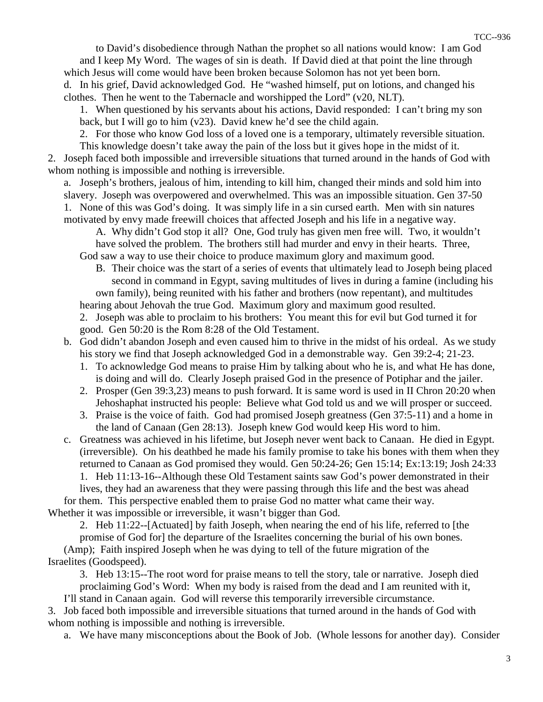to David's disobedience through Nathan the prophet so all nations would know: I am God and I keep My Word. The wages of sin is death. If David died at that point the line through which Jesus will come would have been broken because Solomon has not yet been born. d. In his grief, David acknowledged God. He "washed himself, put on lotions, and changed his

clothes. Then he went to the Tabernacle and worshipped the Lord" (v20, NLT).

 1. When questioned by his servants about his actions, David responded: I can't bring my son back, but I will go to him (v23). David knew he'd see the child again.

 2. For those who know God loss of a loved one is a temporary, ultimately reversible situation. This knowledge doesn't take away the pain of the loss but it gives hope in the midst of it. 2. Joseph faced both impossible and irreversible situations that turned around in the hands of God with whom nothing is impossible and nothing is irreversible.

 a. Joseph's brothers, jealous of him, intending to kill him, changed their minds and sold him into slavery. Joseph was overpowered and overwhelmed. This was an impossible situation. Gen 37-50 1. None of this was God's doing. It was simply life in a sin cursed earth. Men with sin natures motivated by envy made freewill choices that affected Joseph and his life in a negative way.

 A. Why didn't God stop it all? One, God truly has given men free will. Two, it wouldn't have solved the problem. The brothers still had murder and envy in their hearts. Three, God saw a way to use their choice to produce maximum glory and maximum good.

 B. Their choice was the start of a series of events that ultimately lead to Joseph being placed second in command in Egypt, saving multitudes of lives in during a famine (including his own family), being reunited with his father and brothers (now repentant), and multitudes

 hearing about Jehovah the true God. Maximum glory and maximum good resulted. 2. Joseph was able to proclaim to his brothers: You meant this for evil but God turned it for good. Gen 50:20 is the Rom 8:28 of the Old Testament.

- b. God didn't abandon Joseph and even caused him to thrive in the midst of his ordeal. As we study his story we find that Joseph acknowledged God in a demonstrable way. Gen 39:2-4; 21-23.
	- 1. To acknowledge God means to praise Him by talking about who he is, and what He has done, is doing and will do. Clearly Joseph praised God in the presence of Potiphar and the jailer.
	- 2. Prosper (Gen 39:3,23) means to push forward. It is same word is used in II Chron 20:20 when Jehoshaphat instructed his people: Believe what God told us and we will prosper or succeed.
	- 3. Praise is the voice of faith. God had promised Joseph greatness (Gen 37:5-11) and a home in the land of Canaan (Gen 28:13). Joseph knew God would keep His word to him.
- c. Greatness was achieved in his lifetime, but Joseph never went back to Canaan. He died in Egypt. (irreversible). On his deathbed he made his family promise to take his bones with them when they returned to Canaan as God promised they would. Gen 50:24-26; Gen 15:14; Ex:13:19; Josh 24:33

 1. Heb 11:13-16--Although these Old Testament saints saw God's power demonstrated in their lives, they had an awareness that they were passing through this life and the best was ahead for them. This perspective enabled them to praise God no matter what came their way. Whether it was impossible or irreversible, it wasn't bigger than God.

2. Heb 11:22--[Actuated] by faith Joseph, when nearing the end of his life, referred to [the

 promise of God for] the departure of the Israelites concerning the burial of his own bones. (Amp); Faith inspired Joseph when he was dying to tell of the future migration of the Israelites (Goodspeed).

 3. Heb 13:15--The root word for praise means to tell the story, tale or narrative. Joseph died proclaiming God's Word: When my body is raised from the dead and I am reunited with it,

I'll stand in Canaan again. God will reverse this temporarily irreversible circumstance.

 3. Job faced both impossible and irreversible situations that turned around in the hands of God with whom nothing is impossible and nothing is irreversible.

a. We have many misconceptions about the Book of Job. (Whole lessons for another day). Consider